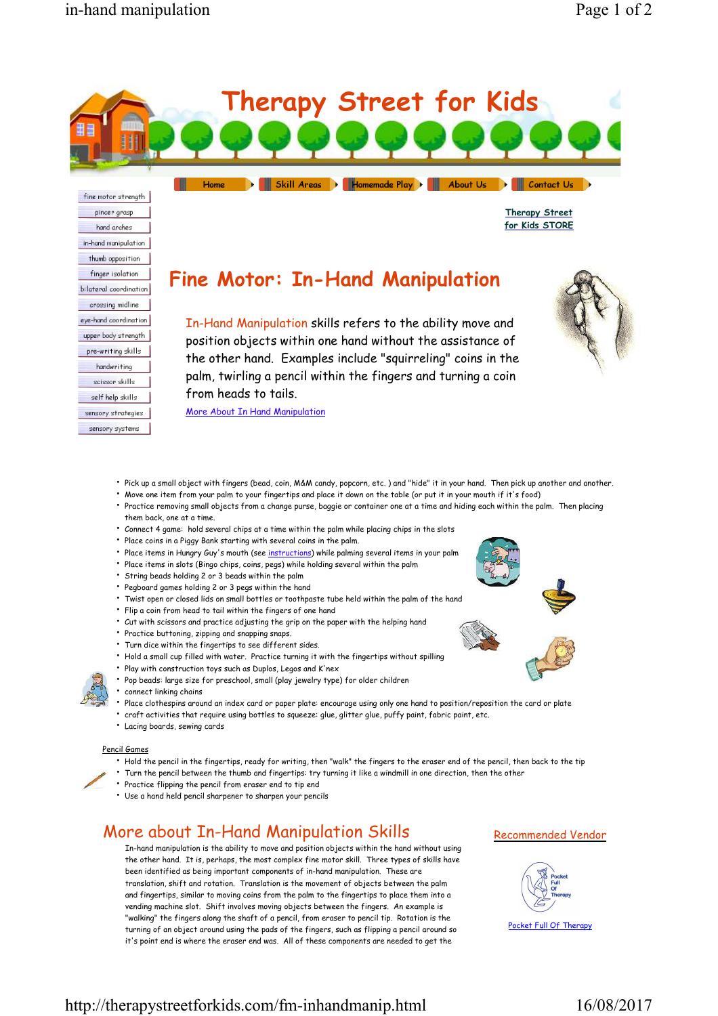pincer grasp hand arches in-hand manipulation thumb opposition finger isolation bilateral coordination crossing midline eye-hand coordination upper body strength pre-writing skills handwriting scissor skills self help skills sensory strategies sensory systems



**Therapy Street for Kids STORE**

# **Fine Motor: In-Hand Manipulation**

In-Hand Manipulation skills refers to the ability move and position objects within one hand without the assistance of the other hand. Examples include "squirreling" coins in the palm, twirling a pencil within the fingers and turning a coin from heads to tails.



More About In Hand Manipulation

- Pick up a small object with fingers (bead, coin, M&M candy, popcorn, etc. ) and "hide" it in your hand. Then pick up another and another.
- Move one item from your palm to your fingertips and place it down on the table (or put it in your mouth if it's food)
- Practice removing small objects from a change purse, baggie or container one at a time and hiding each within the palm. Then placing them back, one at a time.
- Connect 4 game: hold several chips at a time within the palm while placing chips in the slots
- Place coins in a Piggy Bank starting with several coins in the palm.
- Place items in Hungry Guy's mouth (see instructions) while palming several items in your palm
- Place items in slots (Bingo chips, coins, pegs) while holding several within the palm
- String beads holding 2 or 3 beads within the palm
- Pegboard games holding 2 or 3 pegs within the hand
- Twist open or closed lids on small bottles or toothpaste tube held within the palm of the hand
- Flip a coin from head to tail within the fingers of one hand
- Cut with scissors and practice adjusting the grip on the paper with the helping hand
- Practice buttoning, zipping and snapping snaps.
- Turn dice within the fingertips to see different sides.
- Hold a small cup filled with water. Practice turning it with the fingertips without spilling
- Play with construction toys such as Duplos, Legos and K'nex
- Pop beads: large size for preschool, small (play jewelry type) for older children



- connect linking chains • Place clothespins around an index card or paper plate: encourage using only one hand to position/reposition the card or plate
- craft activities that require using bottles to squeeze: glue, glitter glue, puffy paint, fabric paint, etc.
- Lacing boards, sewing cards

#### Pencil Games

- Hold the pencil in the fingertips, ready for writing, then "walk" the fingers to the eraser end of the pencil, then back to the tip • Turn the pencil between the thumb and fingertips: try turning it like a windmill in one direction, then the other
- Practice flipping the pencil from eraser end to tip end
- Use a hand held pencil sharpener to sharpen your pencils

### More about In-Hand Manipulation Skills

In-hand manipulation is the ability to move and position objects within the hand without using the other hand. It is, perhaps, the most complex fine motor skill. Three types of skills have been identified as being important components of in-hand manipulation. These are translation, shift and rotation. Translation is the movement of objects between the palm and fingertips, similar to moving coins from the palm to the fingertips to place them into a vending machine slot. Shift involves moving objects between the fingers. An example is "walking" the fingers along the shaft of a pencil, from eraser to pencil tip. Rotation is the turning of an object around using the pads of the fingers, such as flipping a pencil around so it's point end is where the eraser end was. All of these components are needed to get the

#### Recommended Vendor



Pocket Full Of Therapy